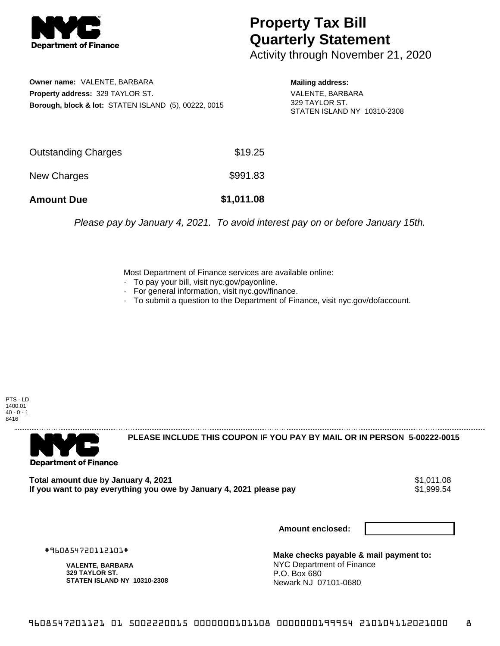

## **Property Tax Bill Quarterly Statement**

Activity through November 21, 2020

**Owner name:** VALENTE, BARBARA **Property address:** 329 TAYLOR ST. **Borough, block & lot:** STATEN ISLAND (5), 00222, 0015 **Mailing address:**

VALENTE, BARBARA 329 TAYLOR ST. STATEN ISLAND NY 10310-2308

| <b>Amount Due</b>   | \$1,011.08 |
|---------------------|------------|
| New Charges         | \$991.83   |
| Outstanding Charges | \$19.25    |

Please pay by January 4, 2021. To avoid interest pay on or before January 15th.

Most Department of Finance services are available online:

- · To pay your bill, visit nyc.gov/payonline.
- For general information, visit nyc.gov/finance.
- · To submit a question to the Department of Finance, visit nyc.gov/dofaccount.

PTS - LD 1400.01  $40 - 0 - 1$ 8416



**PLEASE INCLUDE THIS COUPON IF YOU PAY BY MAIL OR IN PERSON 5-00222-0015** 

Total amount due by January 4, 2021<br>If you want to pay everything you owe by January 4, 2021 please pay **ship in the set of the set of the s**1,999.54 If you want to pay everything you owe by January 4, 2021 please pay

**Amount enclosed:**

#960854720112101#

**VALENTE, BARBARA 329 TAYLOR ST. STATEN ISLAND NY 10310-2308**

**Make checks payable & mail payment to:** NYC Department of Finance P.O. Box 680 Newark NJ 07101-0680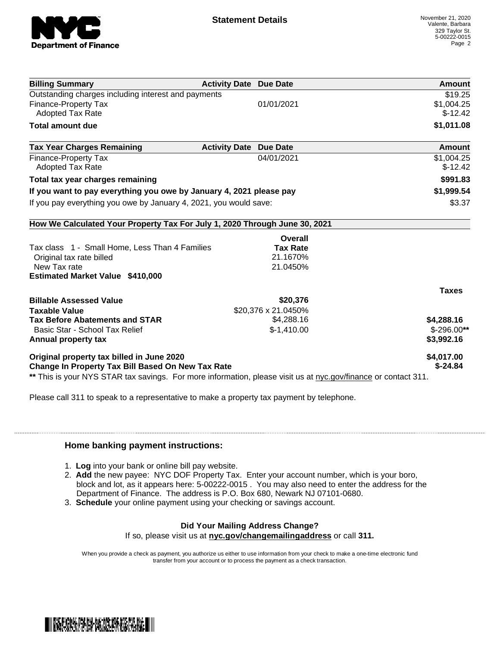

| <b>Billing Summary</b>                                                     | <b>Activity Date Due Date</b> | Amount       |
|----------------------------------------------------------------------------|-------------------------------|--------------|
| Outstanding charges including interest and payments                        |                               | \$19.25      |
| Finance-Property Tax                                                       | 01/01/2021                    | \$1,004.25   |
| Adopted Tax Rate                                                           |                               | $$-12.42$    |
| <b>Total amount due</b>                                                    |                               | \$1,011.08   |
| <b>Tax Year Charges Remaining</b><br><b>Activity Date</b>                  | <b>Due Date</b>               | Amount       |
| Finance-Property Tax                                                       | 04/01/2021                    | \$1,004.25   |
| <b>Adopted Tax Rate</b>                                                    |                               | $$-12.42$    |
| Total tax year charges remaining                                           |                               | \$991.83     |
| If you want to pay everything you owe by January 4, 2021 please pay        |                               | \$1,999.54   |
| If you pay everything you owe by January 4, 2021, you would save:          |                               | \$3.37       |
| How We Calculated Your Property Tax For July 1, 2020 Through June 30, 2021 |                               |              |
|                                                                            | Overall                       |              |
| Tax class 1 - Small Home, Less Than 4 Families                             | <b>Tax Rate</b>               |              |
| Original tax rate billed                                                   | 21.1670%                      |              |
| New Tax rate                                                               | 21.0450%                      |              |
| <b>Estimated Market Value \$410,000</b>                                    |                               |              |
|                                                                            |                               | <b>Taxes</b> |
| <b>Billable Assessed Value</b>                                             | \$20,376                      |              |
| <b>Taxable Value</b>                                                       | \$20,376 x 21.0450%           |              |
| <b>Tax Before Abatements and STAR</b>                                      | \$4,288.16                    | \$4,288.16   |
| Basic Star - School Tax Relief                                             | $$-1,410.00$                  | $$-296.00**$ |
| Annual property tax                                                        |                               | \$3,992.16   |
| Original property tax billed in June 2020                                  |                               | \$4,017.00   |
| <b>Change In Property Tax Bill Based On New Tax Rate</b>                   |                               | $$ -24.84$   |

Please call 311 to speak to a representative to make a property tax payment by telephone.

## **Home banking payment instructions:**

- 1. **Log** into your bank or online bill pay website.
- 2. **Add** the new payee: NYC DOF Property Tax. Enter your account number, which is your boro, block and lot, as it appears here: 5-00222-0015 . You may also need to enter the address for the Department of Finance. The address is P.O. Box 680, Newark NJ 07101-0680.
- 3. **Schedule** your online payment using your checking or savings account.

## **Did Your Mailing Address Change?**

If so, please visit us at **nyc.gov/changemailingaddress** or call **311.**

When you provide a check as payment, you authorize us either to use information from your check to make a one-time electronic fund transfer from your account or to process the payment as a check transaction.